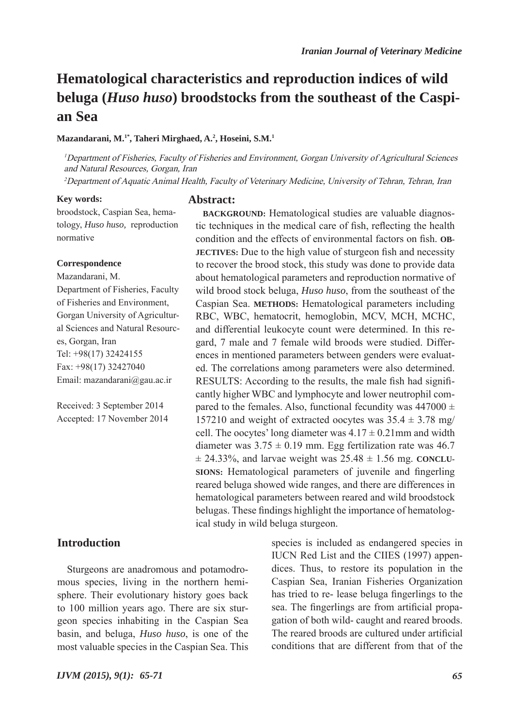# **Hematological characteristics and reproduction indices of wild beluga (***Huso huso***) broodstocks from the southeast of the Caspian Sea**

#### **Mazandarani, M.1\*, Taheri Mirghaed, A.2 , Hoseini, S.M.1**

<sup>1</sup>Department of Fisheries, Faculty of Fisheries and Environment, Gorgan University of Agricultural Sciences and Natural Resources, Gorgan, Iran

<sup>2</sup>Department of Aquatic Animal Health, Faculty of Veterinary Medicine, University of Tehran, Tehran, Iran

#### **Key words:**

**Abstract:**

broodstock, Caspian Sea, hematology, *Huso huso,* reproduction normative

#### **Correspondence**

Mazandarani, M. Department of Fisheries, Faculty of Fisheries and Environment, Gorgan University of Agricultural Sciences and Natural Resources, Gorgan, Iran Tel: +98(17) 32424155 Fax: +98(17) 32427040 Email: mazandarani@gau.ac.ir

Received: 3 September 2014 Accepted: 17 November 2014

## **Introduction**

Sturgeons are anadromous and potamodromous species, living in the northern hemisphere. Their evolutionary history goes back to 100 million years ago. There are six sturgeon species inhabiting in the Caspian Sea basin, and beluga, *Huso huso*, is one of the most valuable species in the Caspian Sea. This

**BACKGROUND:** Hematological studies are valuable diagnostic techniques in the medical care of fish, reflecting the health condition and the effects of environmental factors on fish. **OB-JECTIVES:** Due to the high value of sturgeon fish and necessity to recover the brood stock, this study was done to provide data about hematological parameters and reproduction normative of wild brood stock beluga, *Huso huso*, from the southeast of the Caspian Sea. **METHODS:** Hematological parameters including RBC, WBC, hematocrit, hemoglobin, MCV, MCH, MCHC, and differential leukocyte count were determined. In this regard, 7 male and 7 female wild broods were studied. Differences in mentioned parameters between genders were evaluated. The correlations among parameters were also determined. RESULTS: According to the results, the male fish had significantly higher WBC and lymphocyte and lower neutrophil compared to the females. Also, functional fecundity was  $447000 \pm$ 157210 and weight of extracted oocytes was  $35.4 \pm 3.78$  mg/ cell. The oocytes' long diameter was  $4.17 \pm 0.21$  mm and width diameter was  $3.75 \pm 0.19$  mm. Egg fertilization rate was 46.7  $\pm$  24.33%, and larvae weight was  $25.48 \pm 1.56$  mg. **CONCLU-SIONS:** Hematological parameters of juvenile and fingerling reared beluga showed wide ranges, and there are differences in hematological parameters between reared and wild broodstock belugas. These findings highlight the importance of hematological study in wild beluga sturgeon.

> species is included as endangered species in IUCN Red List and the CIIES (1997) appendices. Thus, to restore its population in the Caspian Sea, Iranian Fisheries Organization has tried to re- lease beluga fingerlings to the sea. The fingerlings are from artificial propagation of both wild- caught and reared broods. The reared broods are cultured under artificial conditions that are different from that of the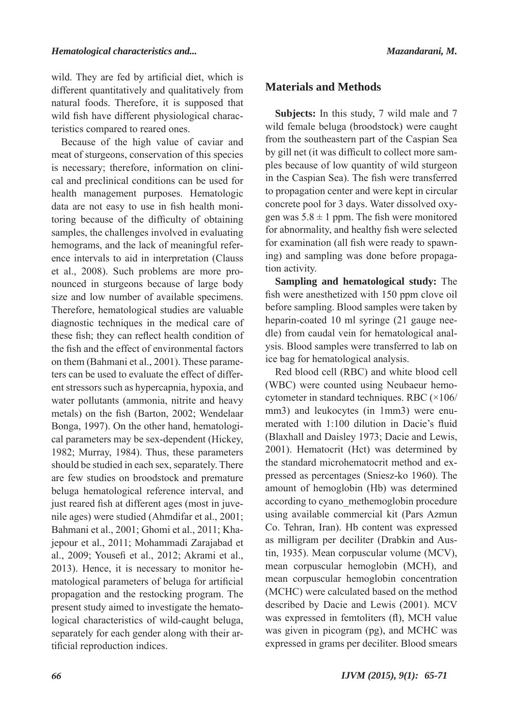wild. They are fed by artificial diet, which is different quantitatively and qualitatively from natural foods. Therefore, it is supposed that wild fish have different physiological characteristics compared to reared ones.

Because of the high value of caviar and meat of sturgeons, conservation of this species is necessary; therefore, information on clinical and preclinical conditions can be used for health management purposes. Hematologic data are not easy to use in fish health monitoring because of the difficulty of obtaining samples, the challenges involved in evaluating hemograms, and the lack of meaningful reference intervals to aid in interpretation (Clauss et al., 2008). Such problems are more pronounced in sturgeons because of large body size and low number of available specimens. Therefore, hematological studies are valuable diagnostic techniques in the medical care of these fish; they can reflect health condition of the fish and the effect of environmental factors on them (Bahmani et al., 2001). These parameters can be used to evaluate the effect of different stressors such as hypercapnia, hypoxia, and water pollutants (ammonia, nitrite and heavy metals) on the fish (Barton, 2002; Wendelaar Bonga, 1997). On the other hand, hematological parameters may be sex-dependent (Hickey, 1982; Murray, 1984). Thus, these parameters should be studied in each sex, separately. There are few studies on broodstock and premature beluga hematological reference interval, and just reared fish at different ages (most in juvenile ages) were studied (Ahmdifar et al., 2001; Bahmani et al., 2001; Ghomi et al., 2011; Khajepour et al., 2011; Mohammadi Zarajabad et al., 2009; Yousefi et al., 2012; Akrami et al., 2013). Hence, it is necessary to monitor hematological parameters of beluga for artificial propagation and the restocking program. The present study aimed to investigate the hematological characteristics of wild-caught beluga, separately for each gender along with their artificial reproduction indices.

# **Materials and Methods**

**Subjects:** In this study, 7 wild male and 7 wild female beluga (broodstock) were caught from the southeastern part of the Caspian Sea by gill net (it was difficult to collect more samples because of low quantity of wild sturgeon in the Caspian Sea). The fish were transferred to propagation center and were kept in circular concrete pool for 3 days. Water dissolved oxygen was  $5.8 \pm 1$  ppm. The fish were monitored for abnormality, and healthy fish were selected for examination (all fish were ready to spawning) and sampling was done before propagation activity.

**Sampling and hematological study:** The fish were anesthetized with 150 ppm clove oil before sampling. Blood samples were taken by heparin-coated 10 ml syringe (21 gauge needle) from caudal vein for hematological analysis. Blood samples were transferred to lab on ice bag for hematological analysis.

Red blood cell (RBC) and white blood cell (WBC) were counted using Neubaeur hemocytometer in standard techniques. RBC (×106/ mm3) and leukocytes (in 1mm3) were enumerated with 1:100 dilution in Dacie's fluid (Blaxhall and Daisley 1973; Dacie and Lewis, 2001). Hematocrit (Hct) was determined by the standard microhematocrit method and expressed as percentages (Sniesz-ko 1960). The amount of hemoglobin (Hb) was determined according to cyano\_methemoglobin procedure using available commercial kit (Pars Azmun Co. Tehran, Iran). Hb content was expressed as milligram per deciliter (Drabkin and Austin, 1935). Mean corpuscular volume (MCV), mean corpuscular hemoglobin (MCH), and mean corpuscular hemoglobin concentration (MCHC) were calculated based on the method described by Dacie and Lewis (2001). MCV was expressed in femtoliters (fl), MCH value was given in picogram (pg), and MCHC was expressed in grams per deciliter. Blood smears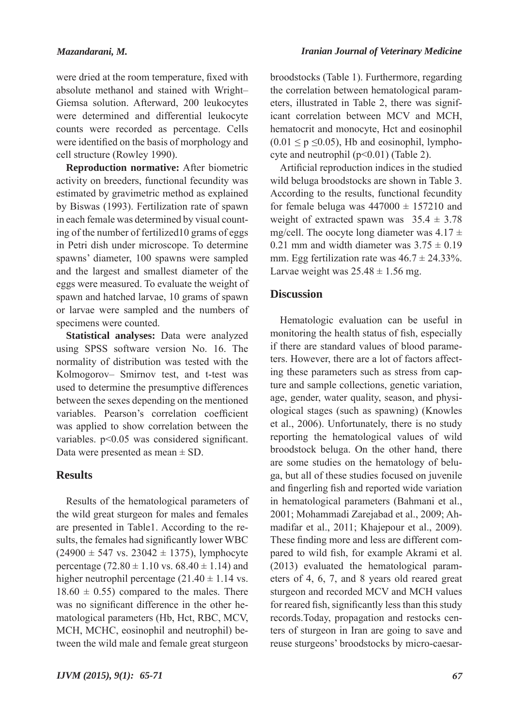were dried at the room temperature, fixed with absolute methanol and stained with Wright– Giemsa solution. Afterward, 200 leukocytes were determined and differential leukocyte counts were recorded as percentage. Cells were identified on the basis of morphology and cell structure (Rowley 1990).

**Reproduction normative:** After biometric activity on breeders, functional fecundity was estimated by gravimetric method as explained by Biswas (1993). Fertilization rate of spawn in each female was determined by visual counting of the number of fertilized10 grams of eggs in Petri dish under microscope. To determine spawns' diameter, 100 spawns were sampled and the largest and smallest diameter of the eggs were measured. To evaluate the weight of spawn and hatched larvae, 10 grams of spawn or larvae were sampled and the numbers of specimens were counted.

**Statistical analyses:** Data were analyzed using SPSS software version No. 16. The normality of distribution was tested with the Kolmogorov– Smirnov test, and t-test was used to determine the presumptive differences between the sexes depending on the mentioned variables. Pearson's correlation coefficient was applied to show correlation between the variables. p<0.05 was considered significant. Data were presented as mean  $\pm$  SD.

# **Results**

Results of the hematological parameters of the wild great sturgeon for males and females are presented in Table1. According to the results, the females had significantly lower WBC  $(24900 \pm 547 \text{ vs. } 23042 \pm 1375)$ , lymphocyte percentage (72.80  $\pm$  1.10 vs. 68.40  $\pm$  1.14) and higher neutrophil percentage  $(21.40 \pm 1.14 \text{ vs.})$  $18.60 \pm 0.55$ ) compared to the males. There was no significant difference in the other hematological parameters (Hb, Hct, RBC, MCV, MCH, MCHC, eosinophil and neutrophil) between the wild male and female great sturgeon

broodstocks (Table 1). Furthermore, regarding the correlation between hematological parameters, illustrated in Table 2, there was significant correlation between MCV and MCH, hematocrit and monocyte, Hct and eosinophil  $(0.01 \le p \le 0.05)$ , Hb and eosinophil, lymphocyte and neutrophil (p<0.01) (Table 2).

Artificial reproduction indices in the studied wild beluga broodstocks are shown in Table 3. According to the results, functional fecundity for female beluga was  $447000 \pm 157210$  and weight of extracted spawn was  $35.4 \pm 3.78$ mg/cell. The oocyte long diameter was  $4.17 \pm$ 0.21 mm and width diameter was  $3.75 \pm 0.19$ mm. Egg fertilization rate was  $46.7 \pm 24.33\%$ . Larvae weight was  $25.48 \pm 1.56$  mg.

## **Discussion**

Hematologic evaluation can be useful in monitoring the health status of fish, especially if there are standard values of blood parameters. However, there are a lot of factors affecting these parameters such as stress from capture and sample collections, genetic variation, age, gender, water quality, season, and physiological stages (such as spawning) (Knowles et al., 2006). Unfortunately, there is no study reporting the hematological values of wild broodstock beluga. On the other hand, there are some studies on the hematology of beluga, but all of these studies focused on juvenile and fingerling fish and reported wide variation in hematological parameters (Bahmani et al., 2001; Mohammadi Zarejabad et al., 2009; Ahmadifar et al., 2011; Khajepour et al., 2009). These finding more and less are different compared to wild fish, for example Akrami et al. (2013) evaluated the hematological parameters of 4, 6, 7, and 8 years old reared great sturgeon and recorded MCV and MCH values for reared fish, significantly less than this study records.Today, propagation and restocks centers of sturgeon in Iran are going to save and reuse sturgeons' broodstocks by micro-caesar-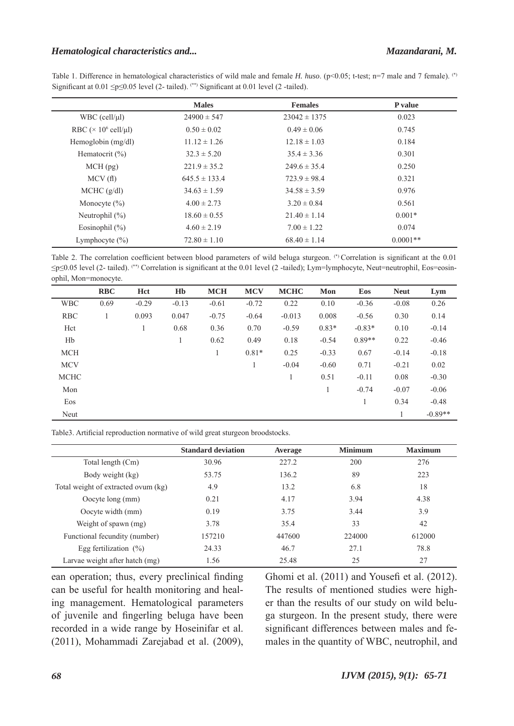#### *Hematological characteristics and... Mazandarani, M.*

Table 1. Difference in hematological characteristics of wild male and female *H. huso*. (p<0.05; t-test; n=7 male and 7 female). (\*) Significant at  $0.01 \leq p \leq 0.05$  level (2-tailed). <sup>(\*\*)</sup> Significant at  $0.01$  level (2-tailed).

|                                         | <b>Males</b>      | <b>Females</b>   | P value    |
|-----------------------------------------|-------------------|------------------|------------|
| $WBC$ (cell/ $\mu$ l)                   | $24900 \pm 547$   | $23042 \pm 1375$ | 0.023      |
| RBC ( $\times$ 10 <sup>6</sup> cell/µl) | $0.50 \pm 0.02$   | $0.49 \pm 0.06$  | 0.745      |
| Hemoglobin $(mg/dl)$                    | $11.12 \pm 1.26$  | $12.18 \pm 1.03$ | 0.184      |
| Hematocrit $(\% )$                      | $32.3 \pm 5.20$   | $35.4 \pm 3.36$  | 0.301      |
| $MCH$ (pg)                              | $221.9 \pm 35.2$  | $249.6 \pm 35.4$ | 0.250      |
| MCV(f)                                  | $645.5 \pm 133.4$ | $723.9 \pm 98.4$ | 0.321      |
| MCHC (g/dl)                             | $34.63 \pm 1.59$  | $34.58 \pm 3.59$ | 0.976      |
| Monocyte $(\% )$                        | $4.00 \pm 2.73$   | $3.20 \pm 0.84$  | 0.561      |
| Neutrophil $(\%)$                       | $18.60 \pm 0.55$  | $21.40 \pm 1.14$ | $0.001*$   |
| Eosinophil $(\% )$                      | $4.60 \pm 2.19$   | $7.00 \pm 1.22$  | 0.074      |
| Lymphocyte $(\% )$                      | $72.80 \pm 1.10$  | $68.40 \pm 1.14$ | $0.0001**$ |

Table 2. The correlation coefficient between blood parameters of wild beluga sturgeon. (\*) Correlation is significant at the 0.01 ≤p≤0.05 level (2- tailed). (\*\*) Correlation is significant at the 0.01 level (2 -tailed); Lym=lymphocyte, Neut=neutrophil, Eos=eosinophil, Mon=monocyte.

|             | <b>RBC</b> | Hct     | H <sub>b</sub> | <b>MCH</b> | <b>MCV</b> | <b>MCHC</b> | Mon     | Eos      | <b>Neut</b> | Lym       |
|-------------|------------|---------|----------------|------------|------------|-------------|---------|----------|-------------|-----------|
| <b>WBC</b>  | 0.69       | $-0.29$ | $-0.13$        | $-0.61$    | $-0.72$    | 0.22        | 0.10    | $-0.36$  | $-0.08$     | 0.26      |
| <b>RBC</b>  |            | 0.093   | 0.047          | $-0.75$    | $-0.64$    | $-0.013$    | 0.008   | $-0.56$  | 0.30        | 0.14      |
| Hct         |            | 1       | 0.68           | 0.36       | 0.70       | $-0.59$     | $0.83*$ | $-0.83*$ | 0.10        | $-0.14$   |
| Hb          |            |         |                | 0.62       | 0.49       | 0.18        | $-0.54$ | $0.89**$ | 0.22        | $-0.46$   |
| <b>MCH</b>  |            |         |                | 1          | $0.81*$    | 0.25        | $-0.33$ | 0.67     | $-0.14$     | $-0.18$   |
| <b>MCV</b>  |            |         |                |            | 1          | $-0.04$     | $-0.60$ | 0.71     | $-0.21$     | 0.02      |
| <b>MCHC</b> |            |         |                |            |            |             | 0.51    | $-0.11$  | 0.08        | $-0.30$   |
| Mon         |            |         |                |            |            |             |         | $-0.74$  | $-0.07$     | $-0.06$   |
| Eos         |            |         |                |            |            |             |         | 1        | 0.34        | $-0.48$   |
| Neut        |            |         |                |            |            |             |         |          | 1           | $-0.89**$ |

Table3. Artificial reproduction normative of wild great sturgeon broodstocks.

|                                     | <b>Standard deviation</b> | Average | <b>Minimum</b> | <b>Maximum</b> |
|-------------------------------------|---------------------------|---------|----------------|----------------|
| Total length (Cm)                   | 30.96                     | 227.2   | 200            | 276            |
| Body weight (kg)                    | 53.75                     | 136.2   | 89             | 223            |
| Total weight of extracted ovum (kg) | 4.9                       | 13.2    | 6.8            | 18             |
| Oocyte long (mm)                    | 0.21                      | 4.17    | 3.94           | 4.38           |
| Oocyte width (mm)                   | 0.19                      | 3.75    | 3.44           | 3.9            |
| Weight of spawn (mg)                | 3.78                      | 35.4    | 33             | 42             |
| Functional fecundity (number)       | 157210                    | 447600  | 224000         | 612000         |
| Egg fertilization $(\% )$           | 24.33                     | 46.7    | 27.1           | 78.8           |
| Larvae weight after hatch (mg)      | 1.56                      | 25.48   | 25             | 27             |

ean operation; thus, every preclinical finding can be useful for health monitoring and healing management. Hematological parameters of juvenile and fingerling beluga have been recorded in a wide range by Hoseinifar et al. (2011), Mohammadi Zarejabad et al. (2009), Ghomi et al. (2011) and Yousefi et al. (2012). The results of mentioned studies were higher than the results of our study on wild beluga sturgeon. In the present study, there were significant differences between males and females in the quantity of WBC, neutrophil, and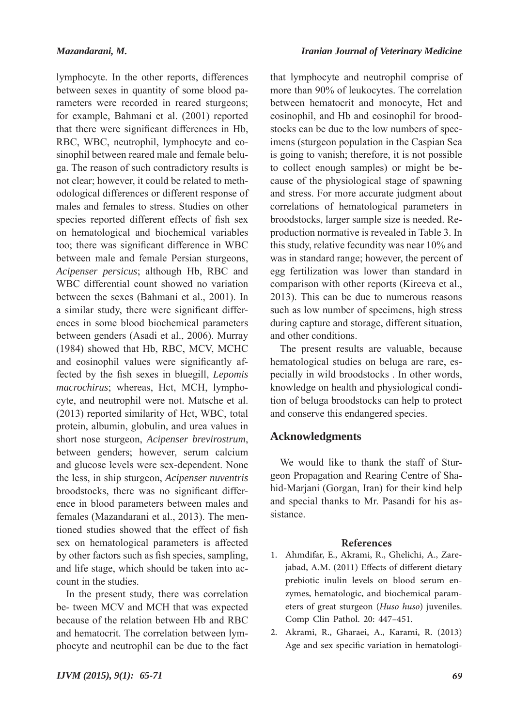*Iranian Journal of Veterinary Medicine*

lymphocyte. In the other reports, differences between sexes in quantity of some blood parameters were recorded in reared sturgeons; for example, Bahmani et al. (2001) reported that there were significant differences in Hb, RBC, WBC, neutrophil, lymphocyte and eosinophil between reared male and female beluga. The reason of such contradictory results is not clear; however, it could be related to methodological differences or different response of males and females to stress. Studies on other species reported different effects of fish sex on hematological and biochemical variables too; there was significant difference in WBC between male and female Persian sturgeons, *Acipenser persicus*; although Hb, RBC and WBC differential count showed no variation between the sexes (Bahmani et al., 2001). In a similar study, there were significant differences in some blood biochemical parameters between genders (Asadi et al., 2006). Murray (1984) showed that Hb, RBC, MCV, MCHC and eosinophil values were significantly affected by the fish sexes in bluegill, *Lepomis macrochirus*; whereas, Hct, MCH, lymphocyte, and neutrophil were not. Matsche et al. (2013) reported similarity of Hct, WBC, total protein, albumin, globulin, and urea values in short nose sturgeon, *Acipenser brevirostrum*, between genders; however, serum calcium and glucose levels were sex-dependent. None the less, in ship sturgeon, *Acipenser nuventris* broodstocks, there was no significant difference in blood parameters between males and females (Mazandarani et al., 2013). The mentioned studies showed that the effect of fish sex on hematological parameters is affected by other factors such as fish species, sampling, and life stage, which should be taken into account in the studies.

In the present study, there was correlation be- tween MCV and MCH that was expected because of the relation between Hb and RBC and hematocrit. The correlation between lymphocyte and neutrophil can be due to the fact that lymphocyte and neutrophil comprise of more than 90% of leukocytes. The correlation between hematocrit and monocyte, Hct and eosinophil, and Hb and eosinophil for broodstocks can be due to the low numbers of specimens (sturgeon population in the Caspian Sea is going to vanish; therefore, it is not possible to collect enough samples) or might be because of the physiological stage of spawning and stress. For more accurate judgment about correlations of hematological parameters in broodstocks, larger sample size is needed. Reproduction normative is revealed in Table 3. In this study, relative fecundity was near 10% and was in standard range; however, the percent of egg fertilization was lower than standard in comparison with other reports (Kireeva et al., 2013). This can be due to numerous reasons such as low number of specimens, high stress during capture and storage, different situation, and other conditions.

The present results are valuable, because hematological studies on beluga are rare, especially in wild broodstocks . In other words, knowledge on health and physiological condition of beluga broodstocks can help to protect and conserve this endangered species.

### **Acknowledgments**

We would like to thank the staff of Sturgeon Propagation and Rearing Centre of Shahid-Marjani (Gorgan, Iran) for their kind help and special thanks to Mr. Pasandi for his assistance.

#### **References**

- Ahmdifar, E., Akrami, R., Ghelichi, A., Zare-1. jabad, A.M. (2011) Effects of different dietary prebiotic inulin levels on blood serum enzymes, hematologic, and biochemical parameters of great sturgeon (*Huso huso*) juveniles. Comp Clin Pathol. 20: 447–451.
- Akrami, R., Gharaei, A., Karami, R. (2013) 2. Age and sex specific variation in hematologi-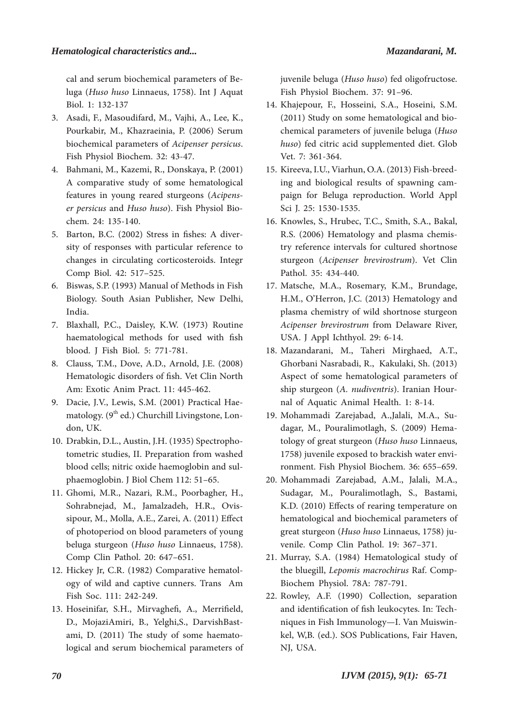cal and serum biochemical parameters of Beluga (*Huso huso* Linnaeus, 1758). Int J Aquat Biol. 1: 132-137

- 3. Asadi, F., Masoudifard, M., Vajhi, A., Lee, K., Pourkabir, M., Khazraeinia, P. (2006) Serum biochemical parameters of *Acipenser persicus*. Fish Physiol Biochem. 32: 43-47.
- Bahmani, M., Kazemi, R., Donskaya, P. (2001) 4. A comparative study of some hematological features in young reared sturgeons (*Acipenser persicus* and *Huso huso*). Fish Physiol Biochem. 24: 135-140.
- 5. Barton, B.C. (2002) Stress in fishes: A diversity of responses with particular reference to changes in circulating corticosteroids. Integr Comp Biol. 42: 517–525.
- 6. Biswas, S.P. (1993) Manual of Methods in Fish Biology. South Asian Publisher, New Delhi, India.
- 7. Blaxhall, P.C., Daisley, K.W. (1973) Routine haematological methods for used with fish blood. J Fish Biol. 5: 771-781.
- Clauss, T.M., Dove, A.D., Arnold, J.E. (2008) 8. Hematologic disorders of fish. Vet Clin North Am: Exotic Anim Pract. 11: 445-462.
- 9. Dacie, J.V., Lewis, S.M. (2001) Practical Haematology.  $(9<sup>th</sup> ed.)$  Churchill Livingstone, London, UK.
- 10. Drabkin, D.L., Austin, J.H. (1935) Spectrophotometric studies, II. Preparation from washed blood cells; nitric oxide haemoglobin and sulphaemoglobin. J Biol Chem 112: 51–65.
- Ghomi, M.R., Nazari, R.M., Poorbagher, H., 11. Sohrabnejad, M., Jamalzadeh, H.R., Ovissipour, M., Molla, A.E., Zarei, A. (2011) Effect of photoperiod on blood parameters of young beluga sturgeon (*Huso huso* Linnaeus, 1758). Comp Clin Pathol. 20: 647–651.
- 12. Hickey Jr, C.R. (1982) Comparative hematology of wild and captive cunners. Trans Am Fish Soc. 111: 242-249.
- 13. Hoseinifar, S.H., Mirvaghefi, A., Merrifield, D., MojaziAmiri, B., Yelghi,S., DarvishBastami, D. (2011) The study of some haematological and serum biochemical parameters of

juvenile beluga (*Huso huso*) fed oligofructose. Fish Physiol Biochem. 37: 91–96.

- 14. Khajepour, F., Hosseini, S.A., Hoseini, S.M. (2011) Study on some hematological and biochemical parameters of juvenile beluga (*Huso huso*) fed citric acid supplemented diet. Glob Vet. 7: 361-364.
- 15. Kireeva, I.U., Viarhun, O.A. (2013) Fish-breeding and biological results of spawning campaign for Beluga reproduction. World Appl Sci J. 25: 1530-1535.
- 16. Knowles, S., Hrubec, T.C., Smith, S.A., Bakal, R.S. (2006) Hematology and plasma chemistry reference intervals for cultured shortnose sturgeon (*Acipenser brevirostrum*). Vet Clin Pathol. 35: 434-440.
- 17. Matsche, M.A., Rosemary, K.M., Brundage, H.M., O'Herron, J.C. (2013) Hematology and plasma chemistry of wild shortnose sturgeon *Acipenser brevirostrum* from Delaware River, USA. J Appl Ichthyol. 29: 6-14.
- 18. Mazandarani, M., Taheri Mirghaed, A.T., Ghorbani Nasrabadi, R., Kakulaki, Sh. (2013) Aspect of some hematological parameters of ship sturgeon (*A. nudiventris*). Iranian Hournal of Aquatic Animal Health. 1: 8-14.
- Mohammadi Zarejabad, A.,Jalali, M.A., Su-19. dagar, M., Pouralimotlagh, S. (2009) Hematology of great sturgeon (*Huso huso* Linnaeus, 1758) juvenile exposed to brackish water environment. Fish Physiol Biochem. 36: 655–659.
- Mohammadi Zarejabad, A.M., Jalali, M.A., 20. Sudagar, M., Pouralimotlagh, S., Bastami, K.D. (2010) Effects of rearing temperature on hematological and biochemical parameters of great sturgeon (*Huso huso* Linnaeus, 1758) juvenile. Comp Clin Pathol. 19: 367–371.
- 21. Murray, S.A. (1984) Hematological study of the bluegill, *Lepomis macrochirus* Raf. Comp-Biochem Physiol. 78A: 787-791.
- 22. Rowley, A.F. (1990) Collection, separation and identification of fish leukocytes. In: Techniques in Fish Immunology—I. Van Muiswinkel, W,B. (ed.). SOS Publications, Fair Haven, NJ, USA.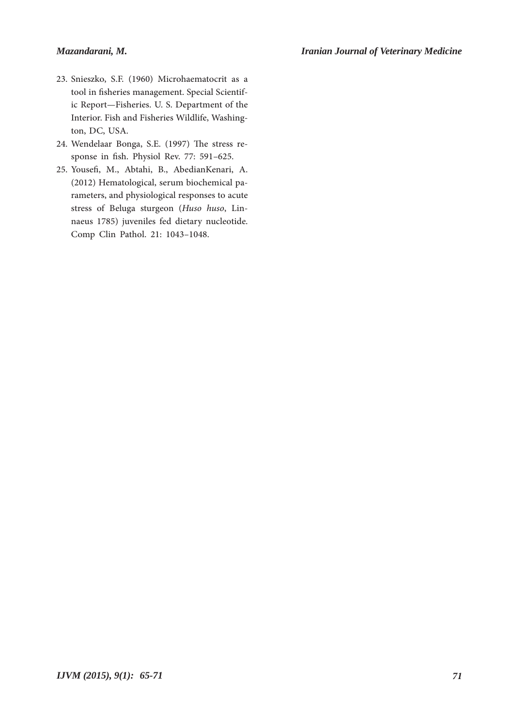### *Mazandarani, M.*

- 23. Snieszko, S.F. (1960) Microhaematocrit as a tool in fisheries management. Special Scientific Report—Fisheries. U. S. Department of the Interior. Fish and Fisheries Wildlife, Washington, DC, USA.
- Wendelaar Bonga, S.E. (1997) The stress re-24. sponse in fish. Physiol Rev. 77: 591–625.
- 25. Yousefi, M., Abtahi, B., AbedianKenari, A. (2012) Hematological, serum biochemical parameters, and physiological responses to acute stress of Beluga sturgeon (*Huso huso*, Linnaeus 1785) juveniles fed dietary nucleotide. Comp Clin Pathol. 21: 1043–1048.